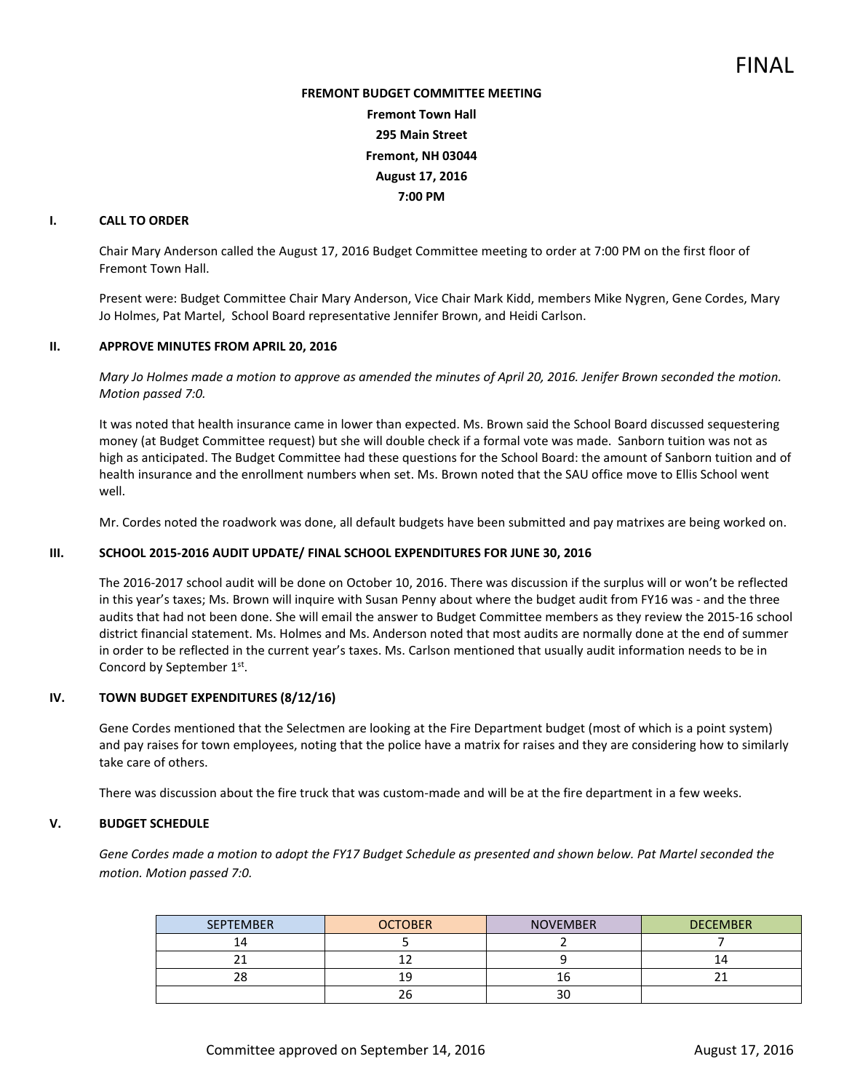# **FREMONT BUDGET COMMITTEE MEETING Fremont Town Hall 295 Main Street Fremont, NH 03044 August 17, 2016 7:00 PM**

## **I. CALL TO ORDER**

Chair Mary Anderson called the August 17, 2016 Budget Committee meeting to order at 7:00 PM on the first floor of Fremont Town Hall.

Present were: Budget Committee Chair Mary Anderson, Vice Chair Mark Kidd, members Mike Nygren, Gene Cordes, Mary Jo Holmes, Pat Martel, School Board representative Jennifer Brown, and Heidi Carlson.

#### **II. APPROVE MINUTES FROM APRIL 20, 2016**

*Mary Jo Holmes made a motion to approve as amended the minutes of April 20, 2016. Jenifer Brown seconded the motion. Motion passed 7:0.* 

It was noted that health insurance came in lower than expected. Ms. Brown said the School Board discussed sequestering money (at Budget Committee request) but she will double check if a formal vote was made. Sanborn tuition was not as high as anticipated. The Budget Committee had these questions for the School Board: the amount of Sanborn tuition and of health insurance and the enrollment numbers when set. Ms. Brown noted that the SAU office move to Ellis School went well.

Mr. Cordes noted the roadwork was done, all default budgets have been submitted and pay matrixes are being worked on.

### **III. SCHOOL 2015-2016 AUDIT UPDATE/ FINAL SCHOOL EXPENDITURES FOR JUNE 30, 2016**

The 2016-2017 school audit will be done on October 10, 2016. There was discussion if the surplus will or won't be reflected in this year's taxes; Ms. Brown will inquire with Susan Penny about where the budget audit from FY16 was - and the three audits that had not been done. She will email the answer to Budget Committee members as they review the 2015-16 school district financial statement. Ms. Holmes and Ms. Anderson noted that most audits are normally done at the end of summer in order to be reflected in the current year's taxes. Ms. Carlson mentioned that usually audit information needs to be in Concord by September 1<sup>st</sup>.

#### **IV. TOWN BUDGET EXPENDITURES (8/12/16)**

Gene Cordes mentioned that the Selectmen are looking at the Fire Department budget (most of which is a point system) and pay raises for town employees, noting that the police have a matrix for raises and they are considering how to similarly take care of others.

There was discussion about the fire truck that was custom-made and will be at the fire department in a few weeks.

#### **V. BUDGET SCHEDULE**

*Gene Cordes made a motion to adopt the FY17 Budget Schedule as presented and shown below. Pat Martel seconded the motion. Motion passed 7:0.* 

| <b>SEPTEMBER</b> | <b>OCTOBER</b> | <b>NOVEMBER</b> | <b>DECEMBER</b> |
|------------------|----------------|-----------------|-----------------|
| 14               |                |                 |                 |
| $\sim$           | --             |                 |                 |
| າດ<br>∠⊂         | ıч             |                 |                 |
|                  | 26             | $\sim$<br>3U    |                 |